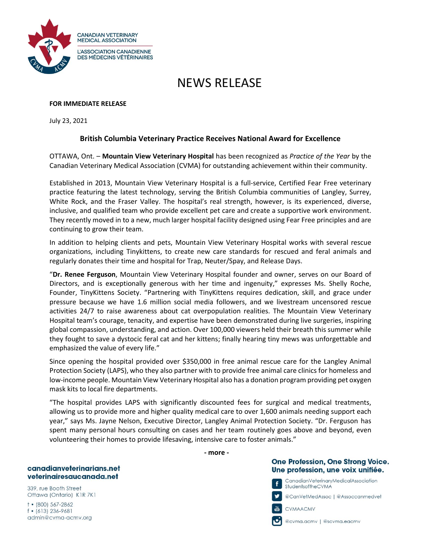

# NEWS RELEASE

### **FOR IMMEDIATE RELEASE**

July 23, 2021

## **British Columbia Veterinary Practice Receives National Award for Excellence**

OTTAWA, Ont. – **Mountain View Veterinary Hospital** has been recognized as *Practice of the Year* by the Canadian Veterinary Medical Association (CVMA) for outstanding achievement within their community.

Established in 2013, Mountain View Veterinary Hospital is a full-service, Certified Fear Free veterinary practice featuring the latest technology, serving the British Columbia communities of Langley, Surrey, White Rock, and the Fraser Valley. The hospital's real strength, however, is its experienced, diverse, inclusive, and qualified team who provide excellent pet care and create a supportive work environment. They recently moved in to a new, much larger hospital facility designed using Fear Free principles and are continuing to grow their team.

In addition to helping clients and pets, Mountain View Veterinary Hospital works with several rescue organizations, including Tinykittens, to create new care standards for rescued and feral animals and regularly donates their time and hospital for Trap, Neuter/Spay, and Release Days.

"**Dr. Renee Ferguson**, Mountain View Veterinary Hospital founder and owner, serves on our Board of Directors, and is exceptionally generous with her time and ingenuity," expresses Ms. Shelly Roche, Founder, TinyKittens Society. "Partnering with TinyKittens requires dedication, skill, and grace under pressure because we have 1.6 million social media followers, and we livestream uncensored rescue activities 24/7 to raise awareness about cat overpopulation realities. The Mountain View Veterinary Hospital team's courage, tenacity, and expertise have been demonstrated during live surgeries, inspiring global compassion, understanding, and action. Over 100,000 viewers held their breath this summer while they fought to save a dystocic feral cat and her kittens; finally hearing tiny mews was unforgettable and emphasized the value of every life."

Since opening the hospital provided over \$350,000 in free animal rescue care for the Langley Animal Protection Society (LAPS), who they also partner with to provide free animal care clinics for homeless and low-income people. Mountain View Veterinary Hospital also has a donation program providing pet oxygen mask kits to local fire departments.

"The hospital provides LAPS with significantly discounted fees for surgical and medical treatments, allowing us to provide more and higher quality medical care to over 1,600 animals needing support each year," says Ms. Jayne Nelson, Executive Director, Langley Animal Protection Society. "Dr. Ferguson has spent many personal hours consulting on cases and her team routinely goes above and beyond, even volunteering their homes to provide lifesaving, intensive care to foster animals."

**- more -**

## One Profession, One Strong Voice. Une profession, une voix unifiée.

CanadianVeterinaryMedicalAssociation StudentsoftheCVMA

@CanVełMedAssoc | @Assoccanmedveł

一

f

CVMAACMV

@cvma.acmv | @scvma.eacmv

#### canadianveterinarians.net veterinairesaucanada.net

339, rue Booth Street Ottawa (Ontario) K1R 7K1

 $+$  (800) 567-2862  $f$  • (613) 236-9681 admin@cvma-acmv.org